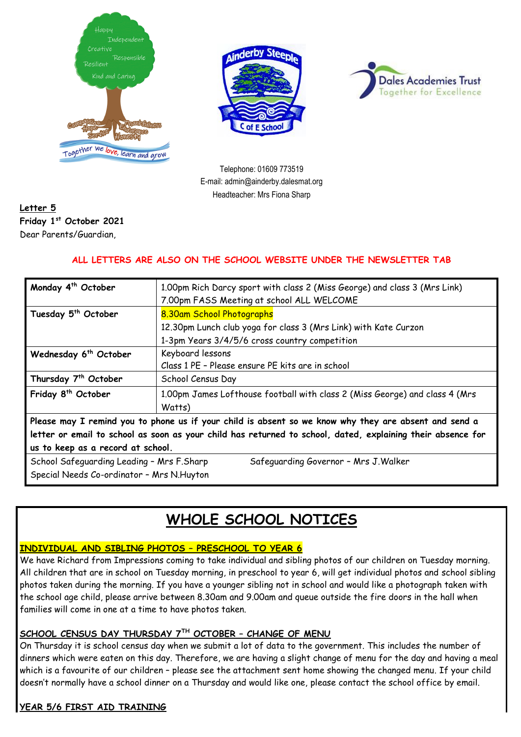





Telephone: 01609 773519 E-mail: admin@ainderby.dalesmat.org Headteacher: Mrs Fiona Sharp

## **Letter 5 Friday 1 st October 2021** Dear Parents/Guardian,

## **ALL LETTERS ARE ALSO ON THE SCHOOL WEBSITE UNDER THE NEWSLETTER TAB**

| Monday 4 <sup>th</sup> October                                                                              | 1.00pm Rich Darcy sport with class 2 (Miss George) and class 3 (Mrs Link)<br>7.00pm FASS Meeting at school ALL WELCOME |  |
|-------------------------------------------------------------------------------------------------------------|------------------------------------------------------------------------------------------------------------------------|--|
| Tuesday 5 <sup>th</sup> October                                                                             | 8.30am School Photographs                                                                                              |  |
|                                                                                                             | 12.30pm Lunch club yoga for class 3 (Mrs Link) with Kate Curzon                                                        |  |
|                                                                                                             | 1-3pm Years 3/4/5/6 cross country competition                                                                          |  |
| Wednesday 6 <sup>th</sup> October                                                                           | Keyboard lessons                                                                                                       |  |
|                                                                                                             | Class 1 PE - Please ensure PE kits are in school                                                                       |  |
| Thursday 7 <sup>th</sup> October                                                                            | School Census Day                                                                                                      |  |
| Friday 8 <sup>th</sup> October                                                                              | 1.00pm James Lofthouse football with class 2 (Miss George) and class 4 (Mrs                                            |  |
|                                                                                                             | Watts)                                                                                                                 |  |
| Please may I remind you to phone us if your child is absent so we know why they are absent and send a       |                                                                                                                        |  |
| letter or email to school as soon as your child has returned to school, dated, explaining their absence for |                                                                                                                        |  |
| us to keep as a record at school.                                                                           |                                                                                                                        |  |
| School Safeguarding Leading - Mrs F.Sharp<br>Safeguarding Governor - Mrs J. Walker                          |                                                                                                                        |  |
| Special Needs Co-ordinator - Mrs N. Huyton                                                                  |                                                                                                                        |  |

# **WHOLE SCHOOL NOTICES**

### **INDIVIDUAL AND SIBLING PHOTOS – PRESCHOOL TO YEAR 6**

We have Richard from Impressions coming to take individual and sibling photos of our children on Tuesday morning. All children that are in school on Tuesday morning, in preschool to year 6, will get individual photos and school sibling photos taken during the morning. If you have a younger sibling not in school and would like a photograph taken with the school age child, please arrive between 8.30am and 9.00am and queue outside the fire doors in the hall when families will come in one at a time to have photos taken.

### **SCHOOL CENSUS DAY THURSDAY 7TH OCTOBER – CHANGE OF MENU**

On Thursday it is school census day when we submit a lot of data to the government. This includes the number of dinners which were eaten on this day. Therefore, we are having a slight change of menu for the day and having a meal which is a favourite of our children – please see the attachment sent home showing the changed menu. If your child doesn't normally have a school dinner on a Thursday and would like one, please contact the school office by email.

## **YEAR 5/6 FIRST AID TRAINING**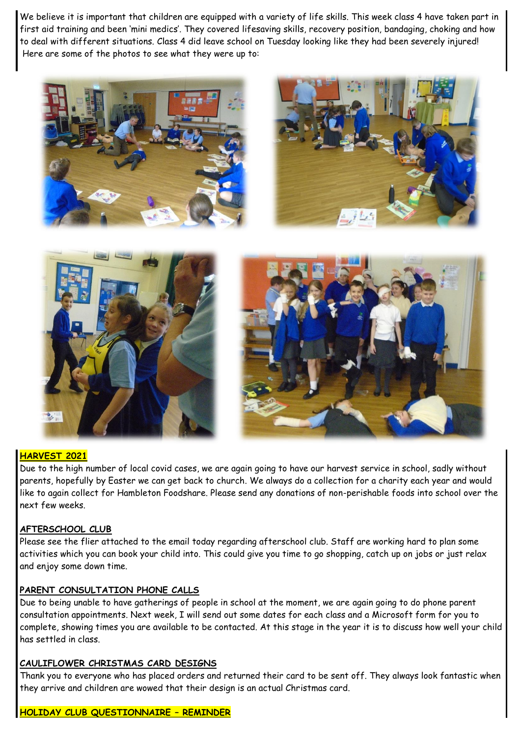We believe it is important that children are equipped with a variety of life skills. This week class 4 have taken part in first aid training and been 'mini medics'. They covered lifesaving skills, recovery position, bandaging, choking and how to deal with different situations. Class 4 did leave school on Tuesday looking like they had been severely injured! Here are some of the photos to see what they were up to:









### **HARVEST 2021**

Due to the high number of local covid cases, we are again going to have our harvest service in school, sadly without parents, hopefully by Easter we can get back to church. We always do a collection for a charity each year and would like to again collect for Hambleton Foodshare. Please send any donations of non-perishable foods into school over the next few weeks.

#### **AFTERSCHOOL CLUB**

Please see the flier attached to the email today regarding afterschool club. Staff are working hard to plan some activities which you can book your child into. This could give you time to go shopping, catch up on jobs or just relax and enjoy some down time.

#### **PARENT CONSULTATION PHONE CALLS**

Due to being unable to have gatherings of people in school at the moment, we are again going to do phone parent consultation appointments. Next week, I will send out some dates for each class and a Microsoft form for you to complete, showing times you are available to be contacted. At this stage in the year it is to discuss how well your child has settled in class.

#### **CAULIFLOWER CHRISTMAS CARD DESIGNS**

Thank you to everyone who has placed orders and returned their card to be sent off. They always look fantastic when they arrive and children are wowed that their design is an actual Christmas card.

#### **HOLIDAY CLUB QUESTIONNAIRE – REMINDER**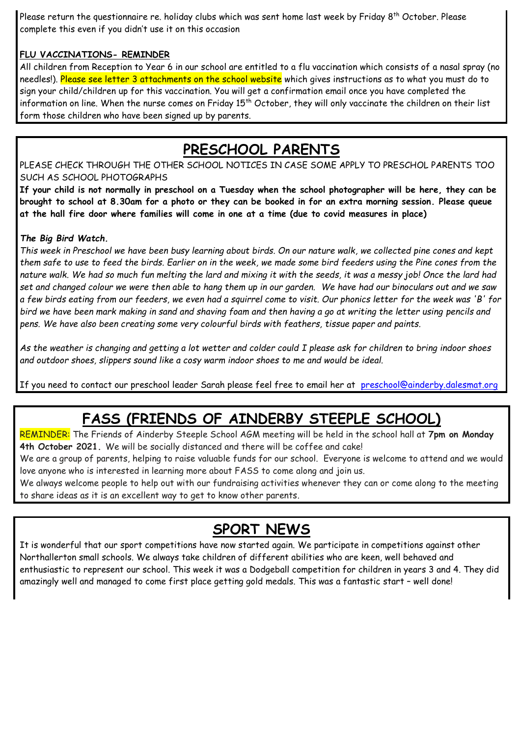Please return the questionnaire re. holiday clubs which was sent home last week by Friday 8<sup>th</sup> October. Please complete this even if you didn't use it on this occasion

### **FLU VACCINATIONS- REMINDER**

All children from Reception to Year 6 in our school are entitled to a flu vaccination which consists of a nasal spray (no needles!). Please see letter 3 attachments on the school website which gives instructions as to what you must do to sign your child/children up for this vaccination. You will get a confirmation email once you have completed the information on line. When the nurse comes on Friday 15<sup>th</sup> October, they will only vaccinate the children on their list form those children who have been signed up by parents.

# **PRESCHOOL PARENTS**

PLEASE CHECK THROUGH THE OTHER SCHOOL NOTICES IN CASE SOME APPLY TO PRESCHOL PARENTS TOO SUCH AS SCHOOL PHOTOGRAPHS

**If your child is not normally in preschool on a Tuesday when the school photographer will be here, they can be brought to school at 8.30am for a photo or they can be booked in for an extra morning session. Please queue at the hall fire door where families will come in one at a time (due to covid measures in place)**

### *The Big Bird Watch.*

*This week in Preschool we have been busy learning about birds. On our nature walk, we collected pine cones and kept them safe to use to feed the birds. Earlier on in the week, we made some bird feeders using the Pine cones from the*  nature walk. We had so much fun melting the lard and mixing it with the seeds, it was a messy job! Once the lard had *set and changed colour we were then able to hang them up in our garden. We have had our binoculars out and we saw a few birds eating from our feeders, we even had a squirrel come to visit. Our phonics letter for the week was 'B' for bird we have been mark making in sand and shaving foam and then having a go at writing the letter using pencils and pens. We have also been creating some very colourful birds with feathers, tissue paper and paints.*

*As the weather is changing and getting a lot wetter and colder could I please ask for children to bring indoor shoes and outdoor shoes, slippers sound like a cosy warm indoor shoes to me and would be ideal.*

If you need to contact our preschool leader Sarah please feel free to email her at [preschool@ainderby.dalesmat.org](mailto:preschool@ainderby.dalesmat.org)

# **FASS (FRIENDS OF AINDERBY STEEPLE SCHOOL)**

REMINDER: The Friends of Ainderby Steeple School AGM meeting will be held in the school hall at **7pm on Monday 4th October 2021.** We will be socially distanced and there will be coffee and cake!

We are a group of parents, helping to raise valuable funds for our school. Everyone is welcome to attend and we would love anyone who is interested in learning more about FASS to come along and join us.

We always welcome people to help out with our fundraising activities whenever they can or come along to the meeting to share ideas as it is an excellent way to get to know other parents.

## **SPORT NEWS**

It is wonderful that our sport competitions have now started again. We participate in competitions against other Northallerton small schools. We always take children of different abilities who are keen, well behaved and enthusiastic to represent our school. This week it was a Dodgeball competition for children in years 3 and 4. They did amazingly well and managed to come first place getting gold medals. This was a fantastic start – well done!